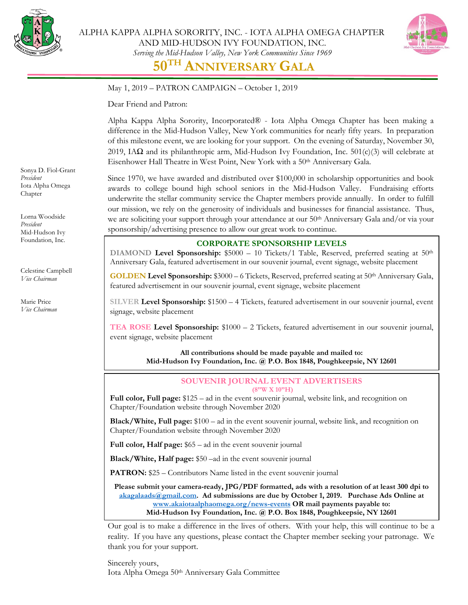



May 1, 2019 – PATRON CAMPAIGN – October 1, 2019

Dear Friend and Patron:

Alpha Kappa Alpha Sorority, Incorporated® - Iota Alpha Omega Chapter has been making a difference in the Mid-Hudson Valley, New York communities for nearly fifty years. In preparation of this milestone event, we are looking for your support. On the evening of Saturday, November 30, 2019, IA $\Omega$  and its philanthropic arm, Mid-Hudson Ivy Foundation, Inc. 501(c)(3) will celebrate at Eisenhower Hall Theatre in West Point, New York with a 50<sup>th</sup> Anniversary Gala.

Since 1970, we have awarded and distributed over \$100,000 in scholarship opportunities and book awards to college bound high school seniors in the Mid-Hudson Valley. Fundraising efforts underwrite the stellar community service the Chapter members provide annually. In order to fulfill our mission, we rely on the generosity of individuals and businesses for financial assistance. Thus, we are soliciting your support through your attendance at our 50<sup>th</sup> Anniversary Gala and/or via your sponsorship/advertising presence to allow our great work to continue.

## **CORPORATE SPONSORSHIP LEVELS**

**DIAMOND** Level Sponsorship: \$5000 – 10 Tickets/1 Table, Reserved, preferred seating at 50<sup>th</sup> Anniversary Gala, featured advertisement in our souvenir journal, event signage, website placement

**GOLDEN Level Sponsorship:** \$3000 – 6 Tickets, Reserved, preferred seating at 50th Anniversary Gala, featured advertisement in our souvenir journal, event signage, website placement

**SILVER Level Sponsorship:** \$1500 – 4 Tickets, featured advertisement in our souvenir journal, event signage, website placement

**TEA ROSE Level Sponsorship:** \$1000 – 2 Tickets, featured advertisement in our souvenir journal, event signage, website placement

> **All contributions should be made payable and mailed to: Mid-Hudson Ivy Foundation, Inc. @ P.O. Box 1848, Poughkeepsie, NY 12601**

## **SOUVENIR JOURNAL EVENT ADVERTISERS (8"W X 10"H)**

**Full color, Full page:** \$125 – ad in the event souvenir journal, website link, and recognition on Chapter/Foundation website through November 2020

**Black/White, Full page:** \$100 – ad in the event souvenir journal, website link, and recognition on Chapter/Foundation website through November 2020

**Full color, Half page:** \$65 – ad in the event souvenir journal

**Black/White, Half page:** \$50 –ad in the event souvenir journal

**PATRON:** \$25 – Contributors Name listed in the event souvenir journal

**Please submit your camera-ready, JPG/PDF formatted, ads with a resolution of at least 300 dpi to [akagalaads@gmail.com.](mailto:akagalaads@gmail.com) Ad submissions are due by October 1, 2019. Purchase Ads Online at [www.akaiotaalphaomega.org/news-events](http://www.akaiotaalphaomega.org/news-events) OR mail payments payable to: Mid-Hudson Ivy Foundation, Inc. @ P.O. Box 1848, Poughkeepsie, NY 12601**

Our goal is to make a difference in the lives of others. With your help, this will continue to be a reality. If you have any questions, please contact the Chapter member seeking your patronage. We thank you for your support.

Sincerely yours, Iota Alpha Omega 50<sup>th</sup> Anniversary Gala Committee

Sonya D. Fiol-Grant *President* Iota Alpha Omega Chapter

Lorna Woodside *President* Mid-Hudson Ivy Foundation, Inc.

Celestine Campbell *Vice Chairman*

Marie Price *Vice Chairman*